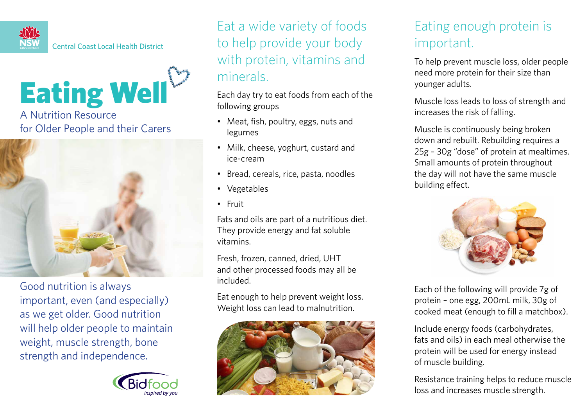

Eating Well

A Nutrition Resource for Older People and their Carers



Good nutrition is always important, even (and especially) as we get older. Good nutrition will help older people to maintain weight, muscle strength, bone strength and independence.



Eat a wide variety of foods to help provide your body with protein, vitamins and minerals.

Each day try to eat foods from each of the following groups

- • Meat, fish, poultry, eggs, nuts and legumes
- Milk, cheese, yoghurt, custard and ice-cream
- Bread, cereals, rice, pasta, noodles
- Vegetables
- Fruit

Fats and oils are part of a nutritious diet. They provide energy and fat soluble vitamins.

Fresh, frozen, canned, dried, UHT and other processed foods may all be included.

Eat enough to help prevent weight loss. Weight loss can lead to malnutrition.



## Eating enough protein is important.

To help prevent muscle loss, older people need more protein for their size than younger adults.

Muscle loss leads to loss of strength and increases the risk of falling.

Muscle is continuously being broken down and rebuilt. Rebuilding requires a 25g – 30g "dose" of protein at mealtimes. Small amounts of protein throughout the day will not have the same muscle building effect.



Each of the following will provide 7g of protein – one egg, 200mL milk, 30g of cooked meat (enough to fill a matchbox).

Include energy foods (carbohydrates, fats and oils) in each meal otherwise the protein will be used for energy instead of muscle building.

Resistance training helps to reduce muscle loss and increases muscle strength.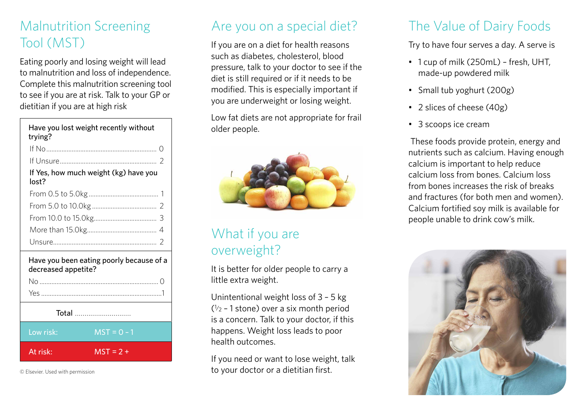#### Malnutrition Screening Tool (MST)

Eating poorly and losing weight will lead to malnutrition and loss of independence. Complete this malnutrition screening tool to see if you are at risk. Talk to your GP or dietitian if you are at high risk

| Have you lost weight recently without<br>trying?                |  |
|-----------------------------------------------------------------|--|
|                                                                 |  |
|                                                                 |  |
| If Yes, how much weight (kg) have you<br>lost?                  |  |
|                                                                 |  |
|                                                                 |  |
|                                                                 |  |
|                                                                 |  |
|                                                                 |  |
| Have you been eating poorly because of a<br>decreased appetite? |  |
|                                                                 |  |

Yes .......................................................................1 Total ............................... Low risk:  $MST = 0 - 1$ At risk:  $MST = 2 +$ 

© Elsevier. Used with permission

#### Are you on a special diet?

If you are on a diet for health reasons such as diabetes, cholesterol, blood pressure, talk to your doctor to see if the diet is still required or if it needs to be modified. This is especially important if you are underweight or losing weight.

Low fat diets are not appropriate for frail older people.



#### What if you are overweight?

It is better for older people to carry a little extra weight.

Unintentional weight loss of 3 – 5 kg  $(1/2 - 1)$  stone) over a six month period is a concern. Talk to your doctor, if this happens. Weight loss leads to poor health outcomes.

If you need or want to lose weight, talk to your doctor or a dietitian first.

# The Value of Dairy Foods

Try to have four serves a day. A serve is

- 1 cup of milk (250mL) fresh, UHT, made-up powdered milk
- Small tub yoghurt (200g)
- 2 slices of cheese (40g)
- 3 scoops ice cream

 These foods provide protein, energy and nutrients such as calcium. Having enough calcium is important to help reduce calcium loss from bones. Calcium loss from bones increases the risk of breaks and fractures (for both men and women). Calcium fortified soy milk is available for people unable to drink cow's milk.

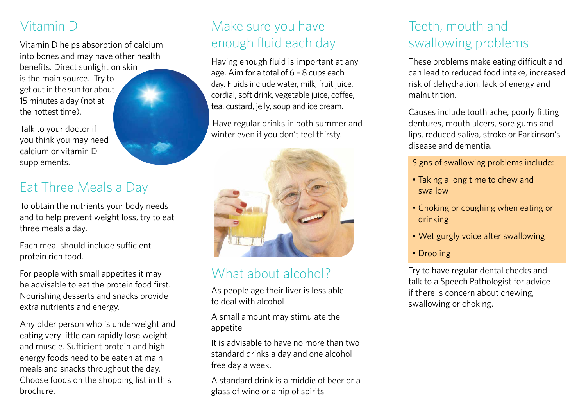## Vitamin D

Vitamin D helps absorption of calcium into bones and may have other health benefits. Direct sunlight on skin

is the main source. Try to get out in the sun for about 15 minutes a day (not at the hottest time).

Talk to your doctor if you think you may need calcium or vitamin D supplements.

#### Eat Three Meals a Day

To obtain the nutrients your body needs and to help prevent weight loss, try to eat three meals a day.

Each meal should include sufficient protein rich food.

For people with small appetites it may be advisable to eat the protein food first. Nourishing desserts and snacks provide extra nutrients and energy.

Any older person who is underweight and eating very little can rapidly lose weight and muscle. Sufficient protein and high energy foods need to be eaten at main meals and snacks throughout the day. Choose foods on the shopping list in this brochure.

#### Make sure you have enough fluid each day

Having enough fluid is important at any age. Aim for a total of 6 – 8 cups each day. Fluids include water, milk, fruit juice, cordial, soft drink, vegetable juice, coffee, tea, custard, jelly, soup and ice cream.

Have regular drinks in both summer and winter even if you don't feel thirsty.



# What about alcohol?

As people age their liver is less able to deal with alcohol

A small amount may stimulate the appetite

It is advisable to have no more than two standard drinks a day and one alcohol free day a week.

A standard drink is a middie of beer or a glass of wine or a nip of spirits

#### Teeth, mouth and swallowing problems

These problems make eating difficult and can lead to reduced food intake, increased risk of dehydration, lack of energy and malnutrition.

Causes include tooth ache, poorly fitting dentures, mouth ulcers, sore gums and lips, reduced saliva, stroke or Parkinson's disease and dementia.

Signs of swallowing problems include:

- Taking a long time to chew and swallow
- Choking or coughing when eating or drinking
- Wet gurgly voice after swallowing
- Drooling

Try to have regular dental checks and talk to a Speech Pathologist for advice if there is concern about chewing, swallowing or choking.